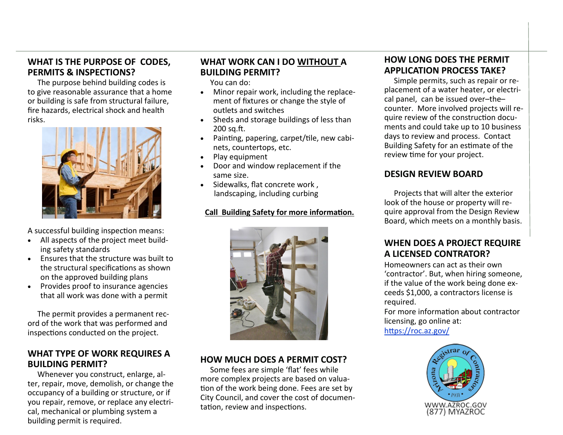#### **WHAT IS THE PURPOSE OF CODES, PERMITS & INSPECTIONS?**

The purpose behind building codes is to give reasonable assurance that a home or building is safe from structural failure, fire hazards, electrical shock and health risks.



A successful building inspection means:

- All aspects of the project meet building safety standards
- Ensures that the structure was built to the structural specifications as shown on the approved building plans
- Provides proof to insurance agencies that all work was done with a permit

 The permit provides a permanent record of the work that was performed and inspections conducted on the project.

#### **WHAT TYPE OF WORK REQUIRES A BUILDING PERMIT?**

Whenever you construct, enlarge, alter, repair, move, demolish, or change the occupancy of a building or structure, or if you repair, remove, or replace any electrical, mechanical or plumbing system a building permit is required.

# **WHAT WORK CAN I DO WITHOUT A BUILDING PERMIT?**

You can do:

- Minor repair work, including the replacement of fixtures or change the style of outlets and switches
- Sheds and storage buildings of less than 200 sq.ft.
- Painting, papering, carpet/tile, new cabinets, countertops, etc.
- Play equipment
- Door and window replacement if the same size.
- Sidewalks, flat concrete work, landscaping, including curbing

#### **Call Building Safety for more information.**



### **HOW MUCH DOES A PERMIT COST?**

 Some fees are simple 'flat' fees while more complex projects are based on valuation of the work being done. Fees are set by City Council, and cover the cost of documentation, review and inspections.

### **HOW LONG DOES THE PERMIT APPLICATION PROCESS TAKE?**

 Simple permits, such as repair or replacement of a water heater, or electrical panel, can be issued over–the– counter. More involved projects will require review of the construction documents and could take up to 10 business days to review and process. Contact Building Safety for an estimate of the review time for your project.

#### **DESIGN REVIEW BOARD**

 Projects that will alter the exterior look of the house or property will require approval from the Design Review Board, which meets on a monthly basis.

# **WHEN DOES A PROJECT REQUIRE A LICENSED CONTRATOR?**

Homeowners can act as their own 'contractor'. But, when hiring someone, if the value of the work being done exceeds \$1,000, a contractors license is required.

For more information about contractor licensing, go online at: https://roc.az.gov/